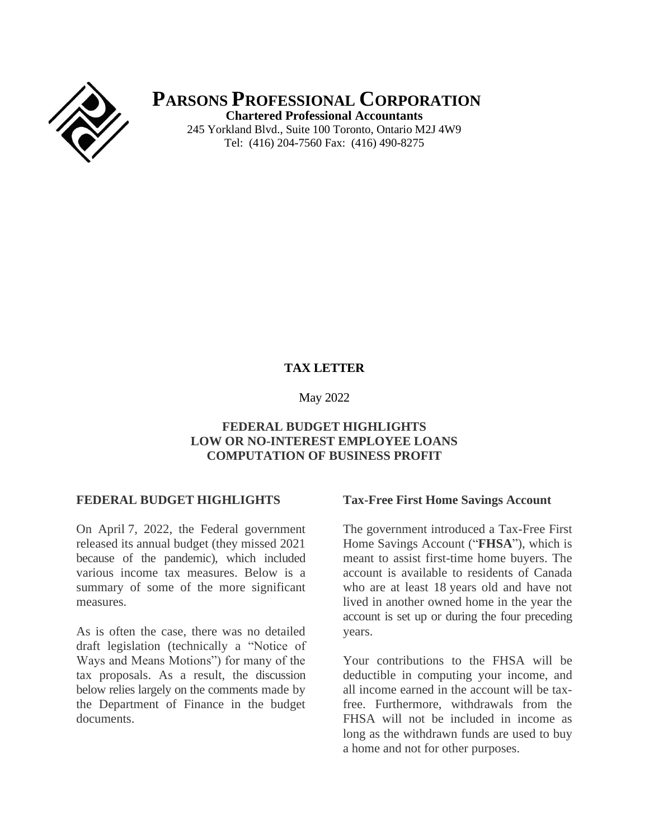

**PARSONS PROFESSIONAL CORPORATION Chartered Professional Accountants** 245 Yorkland Blvd., Suite 100 Toronto, Ontario M2J 4W9 Tel: (416) 204-7560 Fax: (416) 490-8275

## **TAX LETTER**

#### May 2022

## **FEDERAL BUDGET HIGHLIGHTS LOW OR NO-INTEREST EMPLOYEE LOANS COMPUTATION OF BUSINESS PROFIT**

#### **FEDERAL BUDGET HIGHLIGHTS**

On April 7, 2022, the Federal government released its annual budget (they missed 2021 because of the pandemic), which included various income tax measures. Below is a summary of some of the more significant measures.

As is often the case, there was no detailed draft legislation (technically a "Notice of Ways and Means Motions") for many of the tax proposals. As a result, the discussion below relies largely on the comments made by the Department of Finance in the budget documents.

#### **Tax-Free First Home Savings Account**

The government introduced a Tax-Free First Home Savings Account ("**FHSA**"), which is meant to assist first-time home buyers. The account is available to residents of Canada who are at least 18 years old and have not lived in another owned home in the year the account is set up or during the four preceding years.

Your contributions to the FHSA will be deductible in computing your income, and all income earned in the account will be taxfree. Furthermore, withdrawals from the FHSA will not be included in income as long as the withdrawn funds are used to buy a home and not for other purposes.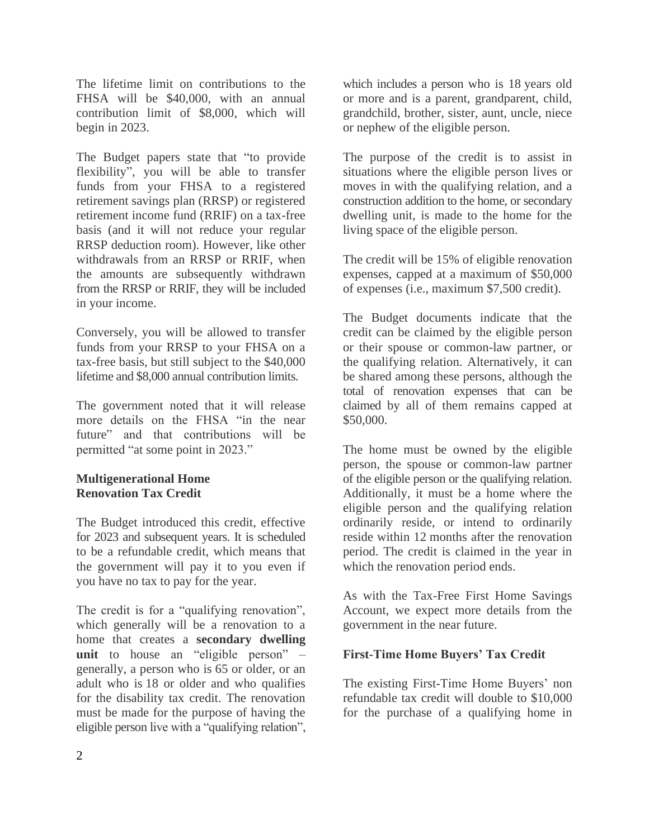The lifetime limit on contributions to the FHSA will be \$40,000, with an annual contribution limit of \$8,000, which will begin in 2023.

The Budget papers state that "to provide flexibility", you will be able to transfer funds from your FHSA to a registered retirement savings plan (RRSP) or registered retirement income fund (RRIF) on a tax-free basis (and it will not reduce your regular RRSP deduction room). However, like other withdrawals from an RRSP or RRIF, when the amounts are subsequently withdrawn from the RRSP or RRIF, they will be included in your income.

Conversely, you will be allowed to transfer funds from your RRSP to your FHSA on a tax-free basis, but still subject to the \$40,000 lifetime and \$8,000 annual contribution limits.

The government noted that it will release more details on the FHSA "in the near future" and that contributions will be permitted "at some point in 2023."

## **Multigenerational Home Renovation Tax Credit**

The Budget introduced this credit, effective for 2023 and subsequent years. It is scheduled to be a refundable credit, which means that the government will pay it to you even if you have no tax to pay for the year.

The credit is for a "qualifying renovation", which generally will be a renovation to a home that creates a **secondary dwelling unit** to house an "eligible person" – generally, a person who is 65 or older, or an adult who is 18 or older and who qualifies for the disability tax credit. The renovation must be made for the purpose of having the eligible person live with a "qualifying relation",

which includes a person who is 18 years old or more and is a parent, grandparent, child, grandchild, brother, sister, aunt, uncle, niece or nephew of the eligible person.

The purpose of the credit is to assist in situations where the eligible person lives or moves in with the qualifying relation, and a construction addition to the home, or secondary dwelling unit, is made to the home for the living space of the eligible person.

The credit will be 15% of eligible renovation expenses, capped at a maximum of \$50,000 of expenses (i.e., maximum \$7,500 credit).

The Budget documents indicate that the credit can be claimed by the eligible person or their spouse or common-law partner, or the qualifying relation. Alternatively, it can be shared among these persons, although the total of renovation expenses that can be claimed by all of them remains capped at \$50,000.

The home must be owned by the eligible person, the spouse or common-law partner of the eligible person or the qualifying relation. Additionally, it must be a home where the eligible person and the qualifying relation ordinarily reside, or intend to ordinarily reside within 12 months after the renovation period. The credit is claimed in the year in which the renovation period ends.

As with the Tax-Free First Home Savings Account, we expect more details from the government in the near future.

## **First-Time Home Buyers' Tax Credit**

The existing First-Time Home Buyers' non refundable tax credit will double to \$10,000 for the purchase of a qualifying home in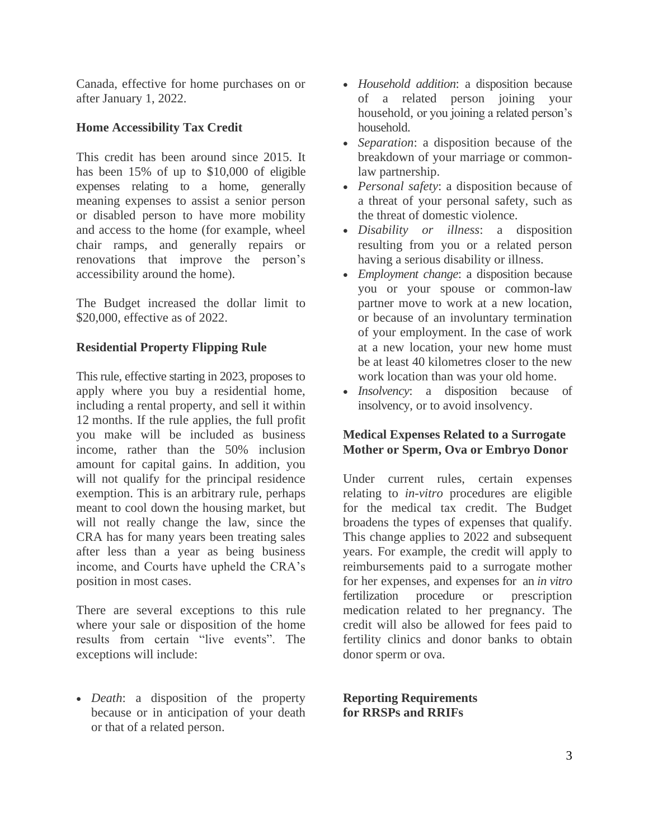Canada, effective for home purchases on or after January 1, 2022.

## **Home Accessibility Tax Credit**

This credit has been around since 2015. It has been 15% of up to \$10,000 of eligible expenses relating to a home, generally meaning expenses to assist a senior person or disabled person to have more mobility and access to the home (for example, wheel chair ramps, and generally repairs or renovations that improve the person's accessibility around the home).

The Budget increased the dollar limit to \$20,000, effective as of 2022.

## **Residential Property Flipping Rule**

This rule, effective starting in 2023, proposes to apply where you buy a residential home, including a rental property, and sell it within 12 months. If the rule applies, the full profit you make will be included as business income, rather than the 50% inclusion amount for capital gains. In addition, you will not qualify for the principal residence exemption. This is an arbitrary rule, perhaps meant to cool down the housing market, but will not really change the law, since the CRA has for many years been treating sales after less than a year as being business income, and Courts have upheld the CRA's position in most cases.

There are several exceptions to this rule where your sale or disposition of the home results from certain "live events". The exceptions will include:

• *Death*: a disposition of the property because or in anticipation of your death or that of a related person.

- *Household addition*: a disposition because of a related person joining your household, or you joining a related person's household.
- *Separation*: a disposition because of the breakdown of your marriage or commonlaw partnership.
- *Personal safety*: a disposition because of a threat of your personal safety, such as the threat of domestic violence.
- *Disability or illness*: a disposition resulting from you or a related person having a serious disability or illness.
- *Employment change*: a disposition because you or your spouse or common-law partner move to work at a new location, or because of an involuntary termination of your employment. In the case of work at a new location, your new home must be at least 40 kilometres closer to the new work location than was your old home.
- *Insolvency*: a disposition because of insolvency, or to avoid insolvency.

## **Medical Expenses Related to a Surrogate Mother or Sperm, Ova or Embryo Donor**

Under current rules, certain expenses relating to *in-vitro* procedures are eligible for the medical tax credit. The Budget broadens the types of expenses that qualify. This change applies to 2022 and subsequent years. For example, the credit will apply to reimbursements paid to a surrogate mother for her expenses, and expenses for an *in vitro* fertilization procedure or prescription medication related to her pregnancy. The credit will also be allowed for fees paid to fertility clinics and donor banks to obtain donor sperm or ova.

**Reporting Requirements for RRSPs and RRIFs**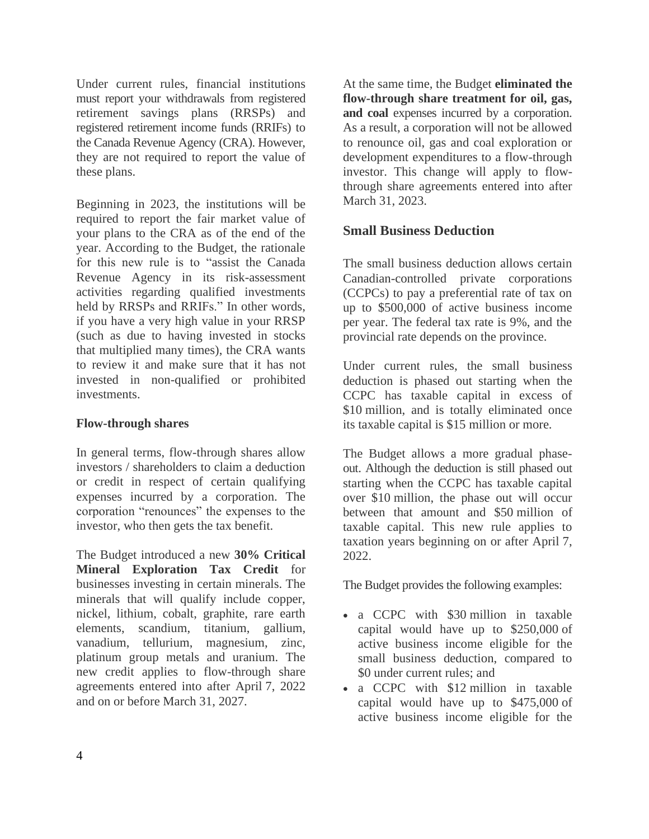Under current rules, financial institutions must report your withdrawals from registered retirement savings plans (RRSPs) and registered retirement income funds (RRIFs) to the Canada Revenue Agency (CRA). However, they are not required to report the value of these plans.

Beginning in 2023, the institutions will be required to report the fair market value of your plans to the CRA as of the end of the year. According to the Budget, the rationale for this new rule is to "assist the Canada Revenue Agency in its risk-assessment activities regarding qualified investments held by RRSPs and RRIFs." In other words, if you have a very high value in your RRSP (such as due to having invested in stocks that multiplied many times), the CRA wants to review it and make sure that it has not invested in non-qualified or prohibited investments.

## **Flow-through shares**

In general terms, flow-through shares allow investors / shareholders to claim a deduction or credit in respect of certain qualifying expenses incurred by a corporation. The corporation "renounces" the expenses to the investor, who then gets the tax benefit.

The Budget introduced a new **30% Critical Mineral Exploration Tax Credit** for businesses investing in certain minerals. The minerals that will qualify include copper, nickel, lithium, cobalt, graphite, rare earth elements, scandium, titanium, gallium, vanadium, tellurium, magnesium, zinc, platinum group metals and uranium. The new credit applies to flow-through share agreements entered into after April 7, 2022 and on or before March 31, 2027.

At the same time, the Budget **eliminated the flow-through share treatment for oil, gas, and coal** expenses incurred by a corporation. As a result, a corporation will not be allowed to renounce oil, gas and coal exploration or development expenditures to a flow-through investor. This change will apply to flowthrough share agreements entered into after March 31, 2023.

# **Small Business Deduction**

The small business deduction allows certain Canadian-controlled private corporations (CCPCs) to pay a preferential rate of tax on up to \$500,000 of active business income per year. The federal tax rate is 9%, and the provincial rate depends on the province.

Under current rules, the small business deduction is phased out starting when the CCPC has taxable capital in excess of \$10 million, and is totally eliminated once its taxable capital is \$15 million or more.

The Budget allows a more gradual phaseout. Although the deduction is still phased out starting when the CCPC has taxable capital over \$10 million, the phase out will occur between that amount and \$50 million of taxable capital. This new rule applies to taxation years beginning on or after April 7, 2022.

The Budget provides the following examples:

- a CCPC with \$30 million in taxable capital would have up to \$250,000 of active business income eligible for the small business deduction, compared to \$0 under current rules; and
- a CCPC with \$12 million in taxable capital would have up to \$475,000 of active business income eligible for the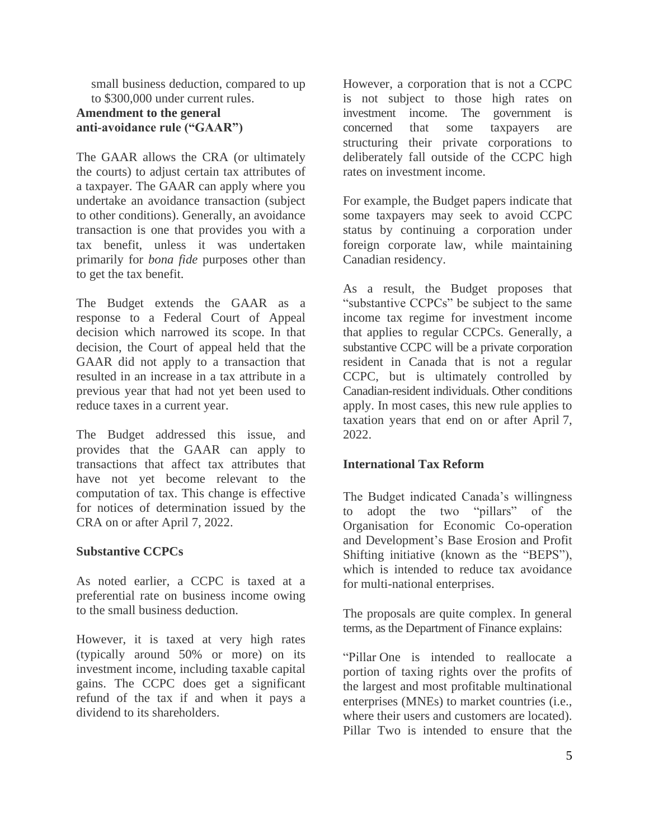small business deduction, compared to up to \$300,000 under current rules.

# **Amendment to the general anti-avoidance rule ("GAAR")**

The GAAR allows the CRA (or ultimately the courts) to adjust certain tax attributes of a taxpayer. The GAAR can apply where you undertake an avoidance transaction (subject to other conditions). Generally, an avoidance transaction is one that provides you with a tax benefit, unless it was undertaken primarily for *bona fide* purposes other than to get the tax benefit.

The Budget extends the GAAR as a response to a Federal Court of Appeal decision which narrowed its scope. In that decision, the Court of appeal held that the GAAR did not apply to a transaction that resulted in an increase in a tax attribute in a previous year that had not yet been used to reduce taxes in a current year.

The Budget addressed this issue, and provides that the GAAR can apply to transactions that affect tax attributes that have not yet become relevant to the computation of tax. This change is effective for notices of determination issued by the CRA on or after April 7, 2022.

## **Substantive CCPCs**

As noted earlier, a CCPC is taxed at a preferential rate on business income owing to the small business deduction.

However, it is taxed at very high rates (typically around 50% or more) on its investment income, including taxable capital gains. The CCPC does get a significant refund of the tax if and when it pays a dividend to its shareholders.

However, a corporation that is not a CCPC is not subject to those high rates on investment income. The government is concerned that some taxpayers are structuring their private corporations to deliberately fall outside of the CCPC high rates on investment income.

For example, the Budget papers indicate that some taxpayers may seek to avoid CCPC status by continuing a corporation under foreign corporate law, while maintaining Canadian residency.

As a result, the Budget proposes that "substantive CCPCs" be subject to the same income tax regime for investment income that applies to regular CCPCs. Generally, a substantive CCPC will be a private corporation resident in Canada that is not a regular CCPC, but is ultimately controlled by Canadian-resident individuals. Other conditions apply. In most cases, this new rule applies to taxation years that end on or after April 7, 2022.

#### **International Tax Reform**

The Budget indicated Canada's willingness to adopt the two "pillars" of the Organisation for Economic Co-operation and Development's Base Erosion and Profit Shifting initiative (known as the "BEPS"), which is intended to reduce tax avoidance for multi-national enterprises.

The proposals are quite complex. In general terms, as the Department of Finance explains:

"Pillar One is intended to reallocate a portion of taxing rights over the profits of the largest and most profitable multinational enterprises (MNEs) to market countries (i.e., where their users and customers are located). Pillar Two is intended to ensure that the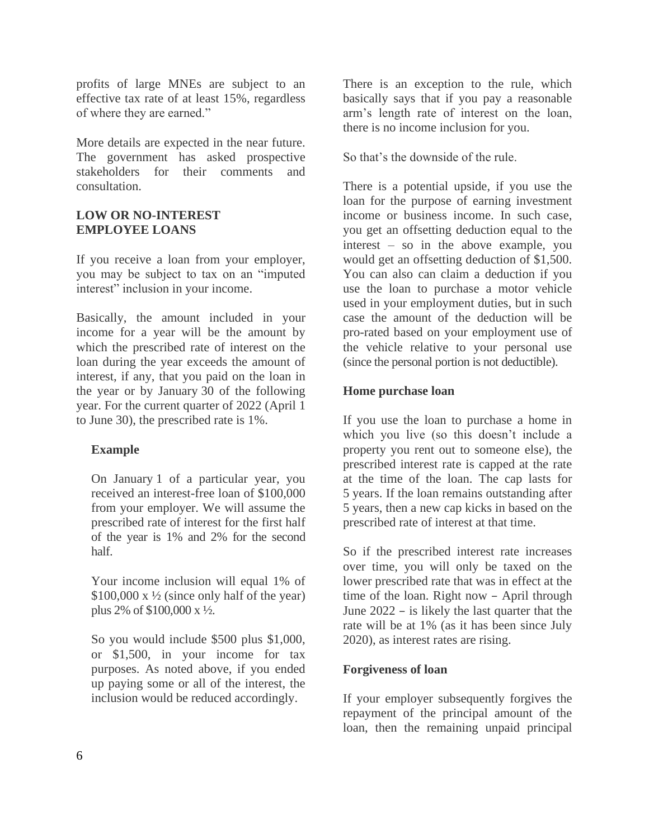profits of large MNEs are subject to an effective tax rate of at least 15%, regardless of where they are earned."

More details are expected in the near future. The government has asked prospective stakeholders for their comments and consultation.

#### **LOW OR NO-INTEREST EMPLOYEE LOANS**

If you receive a loan from your employer, you may be subject to tax on an "imputed interest" inclusion in your income.

Basically, the amount included in your income for a year will be the amount by which the prescribed rate of interest on the loan during the year exceeds the amount of interest, if any, that you paid on the loan in the year or by January 30 of the following year. For the current quarter of 2022 (April 1 to June 30), the prescribed rate is 1%.

## **Example**

On January 1 of a particular year, you received an interest-free loan of \$100,000 from your employer. We will assume the prescribed rate of interest for the first half of the year is 1% and 2% for the second half.

Your income inclusion will equal 1% of  $$100,000 \text{ x } \frac{1}{2}$  (since only half of the year) plus 2% of \$100,000 x ½.

So you would include \$500 plus \$1,000, or \$1,500, in your income for tax purposes. As noted above, if you ended up paying some or all of the interest, the inclusion would be reduced accordingly.

There is an exception to the rule, which basically says that if you pay a reasonable arm's length rate of interest on the loan, there is no income inclusion for you.

So that's the downside of the rule.

There is a potential upside, if you use the loan for the purpose of earning investment income or business income. In such case, you get an offsetting deduction equal to the interest – so in the above example, you would get an offsetting deduction of \$1,500. You can also can claim a deduction if you use the loan to purchase a motor vehicle used in your employment duties, but in such case the amount of the deduction will be pro-rated based on your employment use of the vehicle relative to your personal use (since the personal portion is not deductible).

# **Home purchase loan**

If you use the loan to purchase a home in which you live (so this doesn't include a property you rent out to someone else), the prescribed interest rate is capped at the rate at the time of the loan. The cap lasts for 5 years. If the loan remains outstanding after 5 years, then a new cap kicks in based on the prescribed rate of interest at that time.

So if the prescribed interest rate increases over time, you will only be taxed on the lower prescribed rate that was in effect at the time of the loan. Right now – April through June 2022 – is likely the last quarter that the rate will be at 1% (as it has been since July 2020), as interest rates are rising.

# **Forgiveness of loan**

If your employer subsequently forgives the repayment of the principal amount of the loan, then the remaining unpaid principal